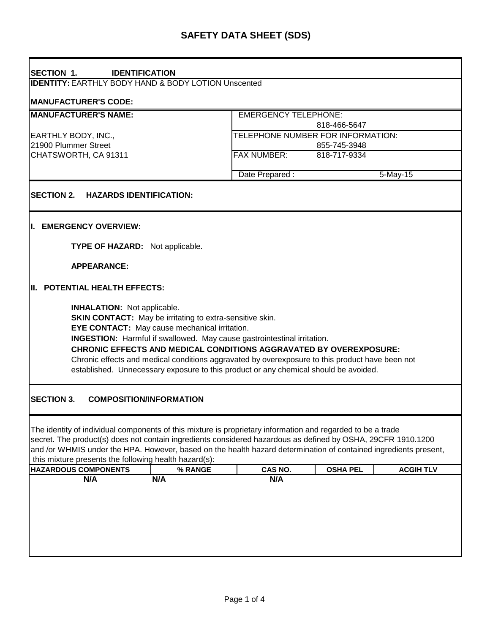| <b>SECTION 1.</b><br><b>IDENTIFICATION</b>                                                                                                                                                                                                                                                                                                                                                               |                                                                                                                                                                                                                                                                                                                                                        |                                     |  |  |  |
|----------------------------------------------------------------------------------------------------------------------------------------------------------------------------------------------------------------------------------------------------------------------------------------------------------------------------------------------------------------------------------------------------------|--------------------------------------------------------------------------------------------------------------------------------------------------------------------------------------------------------------------------------------------------------------------------------------------------------------------------------------------------------|-------------------------------------|--|--|--|
| <b>IDENTITY: EARTHLY BODY HAND &amp; BODY LOTION Unscented</b>                                                                                                                                                                                                                                                                                                                                           |                                                                                                                                                                                                                                                                                                                                                        |                                     |  |  |  |
| <b>MANUFACTURER'S CODE:</b>                                                                                                                                                                                                                                                                                                                                                                              |                                                                                                                                                                                                                                                                                                                                                        |                                     |  |  |  |
| <b>MANUFACTURER'S NAME:</b>                                                                                                                                                                                                                                                                                                                                                                              | <b>EMERGENCY TELEPHONE:</b>                                                                                                                                                                                                                                                                                                                            |                                     |  |  |  |
|                                                                                                                                                                                                                                                                                                                                                                                                          |                                                                                                                                                                                                                                                                                                                                                        | 818-466-5647                        |  |  |  |
| EARTHLY BODY, INC.,                                                                                                                                                                                                                                                                                                                                                                                      |                                                                                                                                                                                                                                                                                                                                                        | TELEPHONE NUMBER FOR INFORMATION:   |  |  |  |
| 21900 Plummer Street                                                                                                                                                                                                                                                                                                                                                                                     |                                                                                                                                                                                                                                                                                                                                                        | 855-745-3948                        |  |  |  |
| CHATSWORTH, CA 91311                                                                                                                                                                                                                                                                                                                                                                                     | <b>FAX NUMBER:</b><br>818-717-9334                                                                                                                                                                                                                                                                                                                     |                                     |  |  |  |
|                                                                                                                                                                                                                                                                                                                                                                                                          | Date Prepared:                                                                                                                                                                                                                                                                                                                                         | $5-May-15$                          |  |  |  |
|                                                                                                                                                                                                                                                                                                                                                                                                          |                                                                                                                                                                                                                                                                                                                                                        |                                     |  |  |  |
| <b>SECTION 2.</b><br><b>HAZARDS IDENTIFICATION:</b>                                                                                                                                                                                                                                                                                                                                                      |                                                                                                                                                                                                                                                                                                                                                        |                                     |  |  |  |
|                                                                                                                                                                                                                                                                                                                                                                                                          |                                                                                                                                                                                                                                                                                                                                                        |                                     |  |  |  |
| I. EMERGENCY OVERVIEW:                                                                                                                                                                                                                                                                                                                                                                                   |                                                                                                                                                                                                                                                                                                                                                        |                                     |  |  |  |
|                                                                                                                                                                                                                                                                                                                                                                                                          |                                                                                                                                                                                                                                                                                                                                                        |                                     |  |  |  |
| TYPE OF HAZARD: Not applicable.                                                                                                                                                                                                                                                                                                                                                                          |                                                                                                                                                                                                                                                                                                                                                        |                                     |  |  |  |
|                                                                                                                                                                                                                                                                                                                                                                                                          |                                                                                                                                                                                                                                                                                                                                                        |                                     |  |  |  |
| <b>APPEARANCE:</b>                                                                                                                                                                                                                                                                                                                                                                                       |                                                                                                                                                                                                                                                                                                                                                        |                                     |  |  |  |
| II. POTENTIAL HEALTH EFFECTS:                                                                                                                                                                                                                                                                                                                                                                            |                                                                                                                                                                                                                                                                                                                                                        |                                     |  |  |  |
| <b>INHALATION:</b> Not applicable.<br><b>SKIN CONTACT:</b> May be irritating to extra-sensitive skin.<br>EYE CONTACT: May cause mechanical irritation.                                                                                                                                                                                                                                                   | <b>INGESTION:</b> Harmful if swallowed. May cause gastrointestinal irritation.<br><b>CHRONIC EFFECTS AND MEDICAL CONDITIONS AGGRAVATED BY OVEREXPOSURE:</b><br>Chronic effects and medical conditions aggravated by overexposure to this product have been not<br>established. Unnecessary exposure to this product or any chemical should be avoided. |                                     |  |  |  |
| <b>SECTION 3.</b><br><b>COMPOSITION/INFORMATION</b>                                                                                                                                                                                                                                                                                                                                                      |                                                                                                                                                                                                                                                                                                                                                        |                                     |  |  |  |
| The identity of individual components of this mixture is proprietary information and regarded to be a trade<br>secret. The product(s) does not contain ingredients considered hazardous as defined by OSHA, 29CFR 1910.1200<br>and /or WHMIS under the HPA. However, based on the health hazard determination of contained ingredients present,<br>this mixture presents the following health hazard(s): |                                                                                                                                                                                                                                                                                                                                                        |                                     |  |  |  |
| <b>HAZARDOUS COMPONENTS</b>                                                                                                                                                                                                                                                                                                                                                                              | CAS NO.<br>% RANGE                                                                                                                                                                                                                                                                                                                                     | <b>ACGIH TLV</b><br><b>OSHA PEL</b> |  |  |  |
| N/A<br>N/A                                                                                                                                                                                                                                                                                                                                                                                               | N/A                                                                                                                                                                                                                                                                                                                                                    |                                     |  |  |  |
|                                                                                                                                                                                                                                                                                                                                                                                                          |                                                                                                                                                                                                                                                                                                                                                        |                                     |  |  |  |
|                                                                                                                                                                                                                                                                                                                                                                                                          |                                                                                                                                                                                                                                                                                                                                                        |                                     |  |  |  |
|                                                                                                                                                                                                                                                                                                                                                                                                          |                                                                                                                                                                                                                                                                                                                                                        |                                     |  |  |  |
|                                                                                                                                                                                                                                                                                                                                                                                                          |                                                                                                                                                                                                                                                                                                                                                        |                                     |  |  |  |
|                                                                                                                                                                                                                                                                                                                                                                                                          |                                                                                                                                                                                                                                                                                                                                                        |                                     |  |  |  |
|                                                                                                                                                                                                                                                                                                                                                                                                          |                                                                                                                                                                                                                                                                                                                                                        |                                     |  |  |  |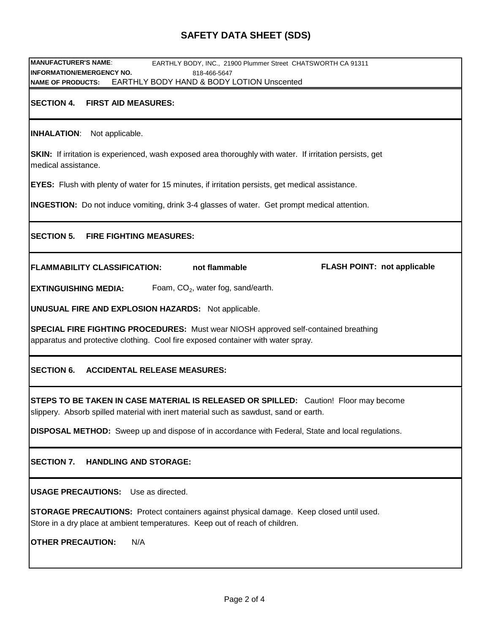# **SAFETY DATA SHEET (SDS)**

| <b>MANUFACTURER'S NAME:</b><br>EARTHLY BODY, INC., 21900 Plummer Street CHATSWORTH CA 91311                                                                                   |  |  |  |  |  |
|-------------------------------------------------------------------------------------------------------------------------------------------------------------------------------|--|--|--|--|--|
| <b>INFORMATION/EMERGENCY NO.</b><br>818-466-5647                                                                                                                              |  |  |  |  |  |
| EARTHLY BODY HAND & BODY LOTION Unscented<br><b>NAME OF PRODUCTS:</b>                                                                                                         |  |  |  |  |  |
| <b>SECTION 4.</b><br><b>FIRST AID MEASURES:</b>                                                                                                                               |  |  |  |  |  |
| <b>INHALATION:</b> Not applicable.                                                                                                                                            |  |  |  |  |  |
| SKIN: If irritation is experienced, wash exposed area thoroughly with water. If irritation persists, get<br>medical assistance.                                               |  |  |  |  |  |
| <b>EYES:</b> Flush with plenty of water for 15 minutes, if irritation persists, get medical assistance.                                                                       |  |  |  |  |  |
| <b>INGESTION:</b> Do not induce vomiting, drink 3-4 glasses of water. Get prompt medical attention.                                                                           |  |  |  |  |  |
| <b>SECTION 5.</b><br><b>FIRE FIGHTING MEASURES:</b>                                                                                                                           |  |  |  |  |  |
| not flammable<br><b>FLASH POINT: not applicable</b><br><b>FLAMMABILITY CLASSIFICATION:</b>                                                                                    |  |  |  |  |  |
| Foam, $CO2$ , water fog, sand/earth.<br><b>EXTINGUISHING MEDIA:</b>                                                                                                           |  |  |  |  |  |
| <b>UNUSUAL FIRE AND EXPLOSION HAZARDS:</b> Not applicable.                                                                                                                    |  |  |  |  |  |
| SPECIAL FIRE FIGHTING PROCEDURES: Must wear NIOSH approved self-contained breathing<br>apparatus and protective clothing. Cool fire exposed container with water spray.       |  |  |  |  |  |
| <b>SECTION 6.</b><br><b>ACCIDENTAL RELEASE MEASURES:</b>                                                                                                                      |  |  |  |  |  |
| STEPS TO BE TAKEN IN CASE MATERIAL IS RELEASED OR SPILLED: Caution! Floor may become<br>slippery. Absorb spilled material with inert material such as sawdust, sand or earth. |  |  |  |  |  |
| <b>DISPOSAL METHOD:</b> Sweep up and dispose of in accordance with Federal, State and local regulations.                                                                      |  |  |  |  |  |
| <b>SECTION 7.</b><br><b>HANDLING AND STORAGE:</b>                                                                                                                             |  |  |  |  |  |
| <b>USAGE PRECAUTIONS:</b> Use as directed.                                                                                                                                    |  |  |  |  |  |
| STORAGE PRECAUTIONS: Protect containers against physical damage. Keep closed until used.<br>Store in a dry place at ambient temperatures. Keep out of reach of children.      |  |  |  |  |  |
| <b>OTHER PRECAUTION:</b><br>N/A                                                                                                                                               |  |  |  |  |  |
|                                                                                                                                                                               |  |  |  |  |  |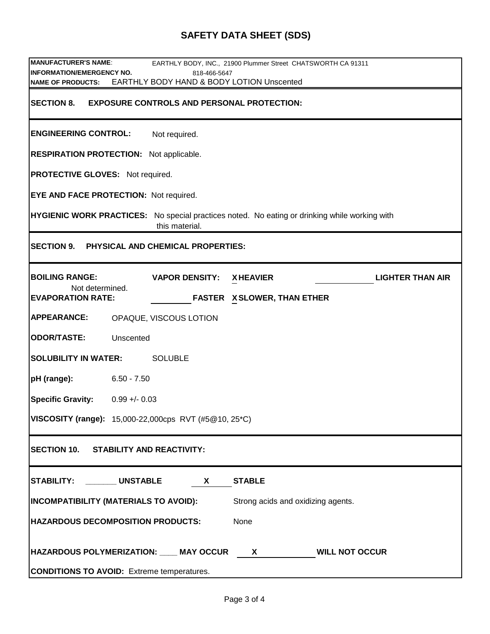# **SAFETY DATA SHEET (SDS)**

| <b>MANUFACTURER'S NAME:</b>                                                                                            |                                           | EARTHLY BODY, INC., 21900 Plummer Street CHATSWORTH CA 91311 |                         |  |  |
|------------------------------------------------------------------------------------------------------------------------|-------------------------------------------|--------------------------------------------------------------|-------------------------|--|--|
| <b>INFORMATION/EMERGENCY NO.</b><br>818-466-5647                                                                       |                                           |                                                              |                         |  |  |
| <b>NAME OF PRODUCTS:</b>                                                                                               | EARTHLY BODY HAND & BODY LOTION Unscented |                                                              |                         |  |  |
| <b>SECTION 8.</b><br><b>EXPOSURE CONTROLS AND PERSONAL PROTECTION:</b>                                                 |                                           |                                                              |                         |  |  |
| <b>ENGINEERING CONTROL:</b>                                                                                            | Not required.                             |                                                              |                         |  |  |
| <b>RESPIRATION PROTECTION:</b> Not applicable.                                                                         |                                           |                                                              |                         |  |  |
| <b>PROTECTIVE GLOVES:</b> Not required.                                                                                |                                           |                                                              |                         |  |  |
| EYE AND FACE PROTECTION: Not required.                                                                                 |                                           |                                                              |                         |  |  |
| <b>HYGIENIC WORK PRACTICES:</b> No special practices noted. No eating or drinking while working with<br>this material. |                                           |                                                              |                         |  |  |
| SECTION 9. PHYSICAL AND CHEMICAL PROPERTIES:                                                                           |                                           |                                                              |                         |  |  |
| <b>BOILING RANGE:</b>                                                                                                  | <b>VAPOR DENSITY:</b>                     | <b>XHEAVIER</b>                                              | <b>LIGHTER THAN AIR</b> |  |  |
| Not determined.<br><b>EVAPORATION RATE:</b>                                                                            |                                           | <b>FASTER X SLOWER, THAN ETHER</b>                           |                         |  |  |
| <b>APPEARANCE:</b>                                                                                                     | OPAQUE, VISCOUS LOTION                    |                                                              |                         |  |  |
| <b>ODOR/TASTE:</b><br>Unscented                                                                                        |                                           |                                                              |                         |  |  |
| <b>SOLUBILITY IN WATER:</b><br><b>SOLUBLE</b>                                                                          |                                           |                                                              |                         |  |  |
| pH (range):<br>$6.50 - 7.50$                                                                                           |                                           |                                                              |                         |  |  |
| <b>Specific Gravity:</b><br>$0.99 + - 0.03$                                                                            |                                           |                                                              |                         |  |  |
| VISCOSITY (range): 15,000-22,000cps RVT (#5@10, 25*C)                                                                  |                                           |                                                              |                         |  |  |
| SECTION 10. STABILITY AND REACTIVITY:                                                                                  |                                           |                                                              |                         |  |  |
| STABILITY: _______UNSTABLE<br><b>STABLE</b><br>X                                                                       |                                           |                                                              |                         |  |  |
| <b>INCOMPATIBILITY (MATERIALS TO AVOID):</b><br>Strong acids and oxidizing agents.                                     |                                           |                                                              |                         |  |  |
| <b>HAZARDOUS DECOMPOSITION PRODUCTS:</b><br>None                                                                       |                                           |                                                              |                         |  |  |
| HAZARDOUS POLYMERIZATION: ___ MAY OCCUR<br><b>WILL NOT OCCUR</b><br>$\mathsf{X}$                                       |                                           |                                                              |                         |  |  |
| <b>CONDITIONS TO AVOID:</b> Extreme temperatures.                                                                      |                                           |                                                              |                         |  |  |